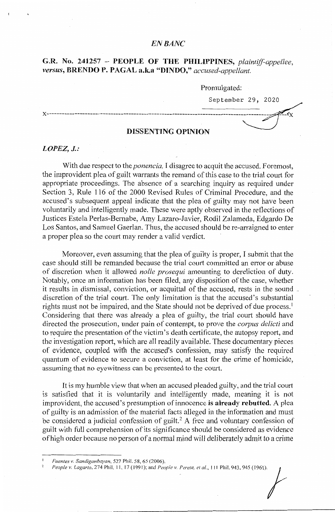## *EN BANC*

# **G.R. No. 241257** - **PEOPLE OF THE PHILIPPINES,** *plaintiff-appellee, versus,* **BRENDO P. PAGAL a.k.a "DINDO,"** *accused-appellant.*

Promulgated:

September 29, 2020

 $\mathbb{Z}_{\mathbf{Y}}$ 

### **DISSENTING OPINION**

x--------------------··-------------------------------------------------------------------

### *LOPEZ, J.:*

With due respect to the *ponencia,* I disagree to acquit the accused. Foremost, the improvident plea of guilt warrants the remand of this case to the trial court for appropriate proceedings. The absence of a searching inquiry as required under Section 3, Rule 116 of the 2000 Revised Rules of Criminal Procedure, and the accused's subsequent appeal indicate that the plea of guilty may not have been voluntarily and intelligently made. These were aptly observed in the reflections of Justices Estela Perlas-Bernabe, Amy Lazaro-Javier, Rodil Zalameda, Edgardo De Los Santos, and Samuel Gaerlan. Thus, the accused should be re-arraigned to enter a proper plea so the court may render a valid verdict.

Moreover, even assuming that the plea of guilty is proper, I submit that the case should still be remanded because the trial court committed an error or abuse of discretion when it allowed *nolle prosequi* amounting to dereliction of duty. Notably, once an information has been filed, any disposition of the case, whether it results in dismissal, conviction, or acquittal of the accused, rests in the sound discretion of the trial court. The only limitation is that the accused's substantial rights must not be impaired, and the State should not be deprived of due process.<sup>1</sup> Considering that there was already a plea of guilty, the trial court should have directed the prosecution, under pain of contempt, to prove the *corpus delicti* and to require the presentation of the victim's death certificate, the autopsy report, and the investigation report, which are all readily available. These documentary pieces of evidence, coupled with the accused's confession, may satisfy the required quantum of evidence to secure a conviction, at least for the crime of homicide, assuming that no eyewitness can be presented to the court.

It is my humble view that when an accused pleaded guilty, and the trial court is satisfied that it is voluntarily and intelligently made, meaning it is not improvident, the accused's presumption of innocence is **already rebutted.** A plea of guilty is an admission of the material facts alleged in the information and must be considered a judicial confession of guilt.<sup>2</sup> A free and voluntary confession of guilt with full comprehension of its significance should be considered as evidence of high order because no person of a normai mind will deliberately admit to a crime

*Fuentes v. Sandiganbayan,* 527 Phil. 58, 65 (2006).

*People v. Lagarto, 274 Phil. 11, 17 (1991); and <i>People v. Perete, et al., 111 Phil. 943, 945 (1961).*